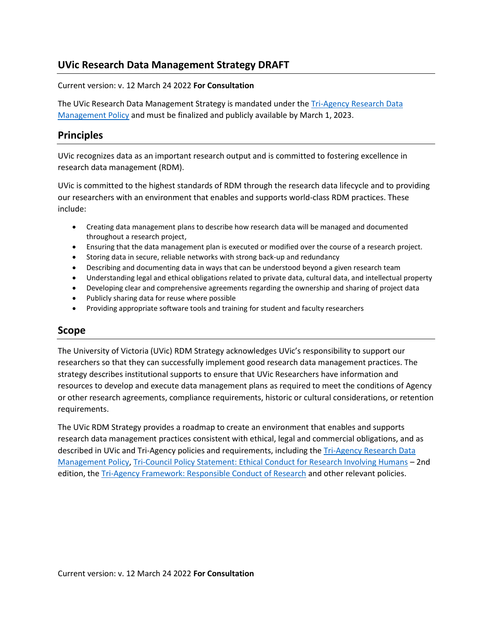# **UVic Research Data Management Strategy DRAFT**

### Current version: v. 12 March 24 2022 **For Consultation**

The UVic Research Data Management Strategy is mandated under the [Tri-Agency Research Data](https://www.science.gc.ca/eic/site/063.nsf/eng/h_97610.html)  [Management Policy](https://www.science.gc.ca/eic/site/063.nsf/eng/h_97610.html) and must be finalized and publicly available by March 1, 2023.

## **Principles**

UVic recognizes data as an important research output and is committed to fostering excellence in research data management (RDM).

UVic is committed to the highest standards of RDM through the research data lifecycle and to providing our researchers with an environment that enables and supports world-class RDM practices. These include:

- Creating data management plans to describe how research data will be managed and documented throughout a research project,
- Ensuring that the data management plan is executed or modified over the course of a research project.
- Storing data in secure, reliable networks with strong back-up and redundancy
- Describing and documenting data in ways that can be understood beyond a given research team
- Understanding legal and ethical obligations related to private data, cultural data, and intellectual property
- Developing clear and comprehensive agreements regarding the ownership and sharing of project data
- Publicly sharing data for reuse where possible
- Providing appropriate software tools and training for student and faculty researchers

### **Scope**

The University of Victoria (UVic) RDM Strategy acknowledges UVic's responsibility to support our researchers so that they can successfully implement good research data management practices. The strategy describes institutional supports to ensure that UVic Researchers have information and resources to develop and execute data management plans as required to meet the conditions of Agency or other research agreements, compliance requirements, historic or cultural considerations, or retention requirements.

The UVic RDM Strategy provides a roadmap to create an environment that enables and supports research data management practices consistent with ethical, legal and commercial obligations, and as described in UVic and Tri-Agency policies and requirements, including the [Tri-Agency Research Data](https://science.gc.ca/eic/site/063.nsf/eng/h_97610.html)  [Management Policy,](https://science.gc.ca/eic/site/063.nsf/eng/h_97610.html) [Tri-Council Policy Statement: Ethical Conduct for Research Involving Humans](https://ethics.gc.ca/eng/policy-politique_tcps2-eptc2_2018.html) – 2nd edition, the [Tri-Agency Framework: Responsible Conduct of Research](https://rcr.ethics.gc.ca/eng/framework-cadre.html) and other relevant policies.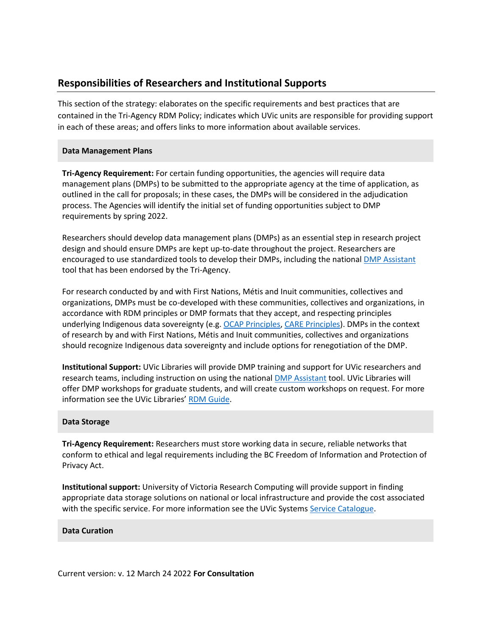## **Responsibilities of Researchers and Institutional Supports**

This section of the strategy: elaborates on the specific requirements and best practices that are contained in the Tri-Agency RDM Policy; indicates which UVic units are responsible for providing support in each of these areas; and offers links to more information about available services.

### **Data Management Plans**

**Tri-Agency Requirement:** For certain funding opportunities, the agencies will require data management plans (DMPs) to be submitted to the appropriate agency at the time of application, as outlined in the call for proposals; in these cases, the DMPs will be considered in the adjudication process. The Agencies will identify the initial set of funding opportunities subject to DMP requirements by spring 2022.

Researchers should develop data management plans (DMPs) as an essential step in research project design and should ensure DMPs are kept up-to-date throughout the project. Researchers are encouraged to use standardized tools to develop their DMPs, including the national [DMP Assistant](https://assistant.portagenetwork.ca/) tool that has been endorsed by the Tri-Agency.

For research conducted by and with First Nations, Métis and Inuit communities, collectives and organizations, DMPs must be co-developed with these communities, collectives and organizations, in accordance with RDM principles or DMP formats that they accept, and respecting principles underlying Indigenous data sovereignty (e.g. [OCAP Principles,](https://fnigc.ca/ocap-training/) [CARE Principles\)](https://www.gida-global.org/care). DMPs in the context of research by and with First Nations, Métis and Inuit communities, collectives and organizations should recognize Indigenous data sovereignty and include options for renegotiation of the DMP.

**Institutional Support:** UVic Libraries will provide DMP training and support for UVic researchers and research teams, including instruction on using the national [DMP Assistant](https://assistant.portagenetwork.ca/) tool. UVic Libraries will offer DMP workshops for graduate students, and will create custom workshops on request. For more information see the UVic Libraries' [RDM Guide.](https://libguides.uvic.ca/researchdata)

### **Data Storage**

**Tri-Agency Requirement:** Researchers must store working data in secure, reliable networks that conform to ethical and legal requirements including the BC Freedom of Information and Protection of Privacy Act.

**Institutional support:** University of Victoria Research Computing will provide support in finding appropriate data storage solutions on national or local infrastructure and provide the cost associated with the specific service. For more information see the UVic Systems [Service Catalogue.](https://www.uvic.ca/systems/services/storagebackup/index.php)

#### **Data Curation**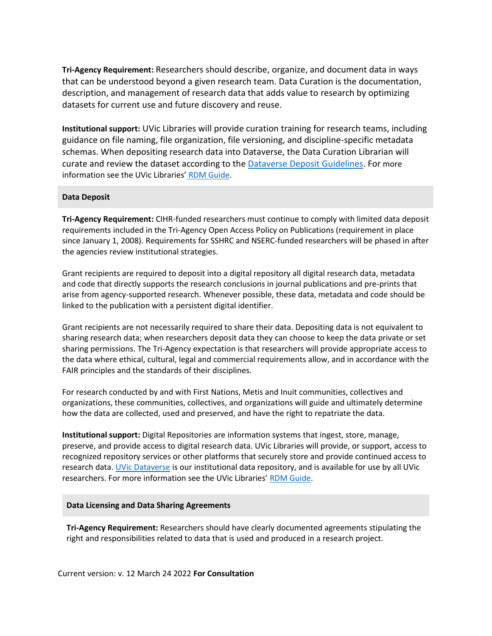**Tri-Agency Requirement:** Researchers should describe, organize, and document data in ways that can be understood beyond a given research team. Data Curation is the documentation, description, and management of research data that adds value to research by optimizing datasets for current use and future discovery and reuse.

**Institutional support:** UVic Libraries will provide curation training for research teams, including guidance on file naming, file organization, file versioning, and discipline-specific metadata schemas. When depositing research data into Dataverse, the Data Curation Librarian will curate and review the dataset according to the Dataverse [Deposit Guidelines.](https://libguides.uvic.ca/researchdata/dataverse/depositguidelines) For more information see the UVic Libraries' [RDM Guide.](https://libguides.uvic.ca/researchdata/depositdata/curation)

### **Data Deposit**

**Tri-Agency Requirement:** CIHR-funded researchers must continue to comply with limited data deposit requirements included in the Tri-Agency Open Access Policy on Publications (requirement in place since January 1, 2008). Requirements for SSHRC and NSERC-funded researchers will be phased in after the agencies review institutional strategies.

Grant recipients are required to deposit into a digital repository all digital research data, metadata and code that directly supports the research conclusions in journal publications and pre-prints that arise from agency-supported research. Whenever possible, these data, metadata and code should be linked to the publication with a persistent digital identifier.

Grant recipients are not necessarily required to share their data. Depositing data is not equivalent to sharing research data; when researchers deposit data they can choose to keep the data private or set sharing permissions. The Tri-Agency expectation is that researchers will provide appropriate access to the data where ethical, cultural, legal and commercial requirements allow, and in accordance with the FAIR principles and the standards of their disciplines.

For research conducted by and with First Nations, Metis and Inuit communities, collectives and organizations, these communities, collectives, and organizations will guide and ultimately determine how the data are collected, used and preserved, and have the right to repatriate the data.

**Institutional support:** Digital Repositories are information systems that ingest, store, manage, preserve, and provide access to digital research data. UVic Libraries will provide, or support, access to recognized repository services or other platforms that securely store and provide continued access to research data. [UVic Dataverse](https://dataverse.scholarsportal.info/dataverse/uvic) is our institutional data repository, and is available for use by all UVic researchers. For more information see the UVic Libraries' [RDM Guide.](https://libguides.uvic.ca/researchdata)

#### **Data Licensing and Data Sharing Agreements**

**Tri-Agency Requirement:** Researchers should have clearly documented agreements stipulating the right and responsibilities related to data that is used and produced in a research project.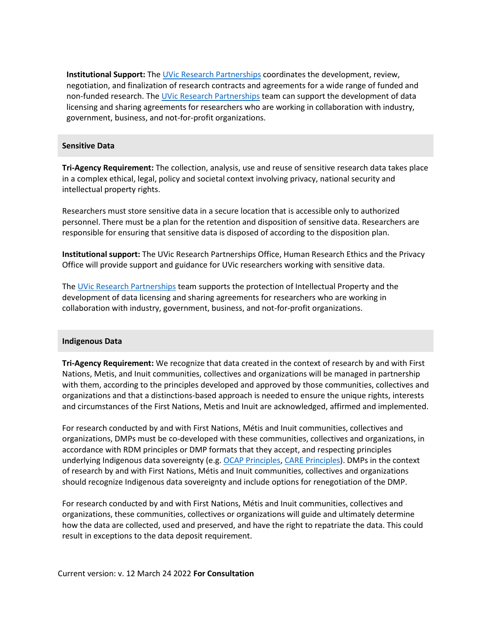**Institutional Support:** Th[e UVic Research Partnerships](https://www.uvic.ca/research-innovation/research-partnerships/) coordinates the development, review, negotiation, and finalization of research contracts and agreements for a wide range of funded and non-funded research. The [UVic Research Partnerships](https://www.uvic.ca/research-innovation/research-partnerships/) team can support the development of data licensing and sharing agreements for researchers who are working in collaboration with industry, government, business, and not-for-profit organizations.

#### **Sensitive Data**

**Tri-Agency Requirement:** The collection, analysis, use and reuse of sensitive research data takes place in a complex ethical, legal, policy and societal context involving privacy, national security and intellectual property rights.

Researchers must store sensitive data in a secure location that is accessible only to authorized personnel. There must be a plan for the retention and disposition of sensitive data. Researchers are responsible for ensuring that sensitive data is disposed of according to the disposition plan.

**Institutional support:** The UVic Research Partnerships Office, Human Research Ethics and the Privacy Office will provide support and guidance for UVic researchers working with sensitive data.

The [UVic Research Partnerships](https://www.uvic.ca/research-innovation/research-partnerships/) team supports the protection of Intellectual Property and the development of data licensing and sharing agreements for researchers who are working in collaboration with industry, government, business, and not-for-profit organizations.

#### **Indigenous Data**

**Tri-Agency Requirement:** We recognize that data created in the context of research by and with First Nations, Metis, and Inuit communities, collectives and organizations will be managed in partnership with them, according to the principles developed and approved by those communities, collectives and organizations and that a distinctions-based approach is needed to ensure the unique rights, interests and circumstances of the First Nations, Metis and Inuit are acknowledged, affirmed and implemented.

For research conducted by and with First Nations, Métis and Inuit communities, collectives and organizations, DMPs must be co-developed with these communities, collectives and organizations, in accordance with RDM principles or DMP formats that they accept, and respecting principles underlying Indigenous data sovereignty (e.g. [OCAP Principles,](https://fnigc.ca/ocap-training/) [CARE Principles\)](https://www.gida-global.org/care). DMPs in the context of research by and with First Nations, Métis and Inuit communities, collectives and organizations should recognize Indigenous data sovereignty and include options for renegotiation of the DMP.

For research conducted by and with First Nations, Métis and Inuit communities, collectives and organizations, these communities, collectives or organizations will guide and ultimately determine how the data are collected, used and preserved, and have the right to repatriate the data. This could result in exceptions to the data deposit requirement.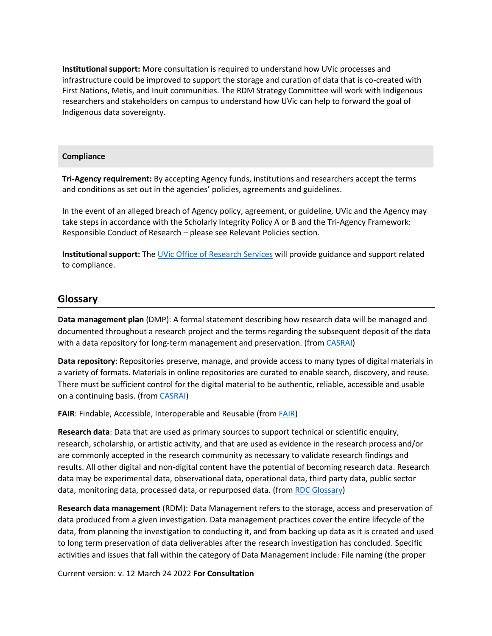**Institutional support:** More consultation is required to understand how UVic processes and infrastructure could be improved to support the storage and curation of data that is co-created with First Nations, Metis, and Inuit communities. The RDM Strategy Committee will work with Indigenous researchers and stakeholders on campus to understand how UVic can help to forward the goal of Indigenous data sovereignty.

#### **Compliance**

**Tri-Agency requirement:** By accepting Agency funds, institutions and researchers accept the terms and conditions as set out in the agencies' policies, agreements and guidelines.

In the event of an alleged breach of Agency policy, agreement, or guideline, UVic and the Agency may take steps in accordance with the Scholarly Integrity Policy A or B and the Tri-Agency Framework: Responsible Conduct of Research – please see Relevant Policies section.

**Institutional support:** The [UVic Office of Research Services](https://www.uvic.ca/research-services/home/policies/index.php) will provide guidance and support related to compliance.

### **Glossary**

**Data management plan** (DMP): A formal statement describing how research data will be managed and documented throughout a research project and the terms regarding the subsequent deposit of the data with a data repository for long-term management and preservation. (from [CASRAI\)](https://casrai.org/term/data-management-plan/)

**Data repository**: Repositories preserve, manage, and provide access to many types of digital materials in a variety of formats. Materials in online repositories are curated to enable search, discovery, and reuse. There must be sufficient control for the digital material to be authentic, reliable, accessible and usable on a continuing basis. (from [CASRAI\)](https://casrai.org/term/repository/)

**FAIR**: Findable, Accessible, Interoperable and Reusable (from [FAIR\)](https://www.go-fair.org/fair-principles/)

**Research data**: Data that are used as primary sources to support technical or scientific enquiry, research, scholarship, or artistic activity, and that are used as evidence in the research process and/or are commonly accepted in the research community as necessary to validate research findings and results. All other digital and non-digital content have the potential of becoming research data. Research data may be experimental data, observational data, operational data, third party data, public sector data, monitoring data, processed data, or repurposed data. (from [RDC Glossary\)](https://www.rdc-drc.ca/glossary/original-rdc-glossary/)

**Research data management** (RDM): Data Management refers to the storage, access and preservation of data produced from a given investigation. Data management practices cover the entire lifecycle of the data, from planning the investigation to conducting it, and from backing up data as it is created and used to long term preservation of data deliverables after the research investigation has concluded. Specific activities and issues that fall within the category of Data Management include: File naming (the proper

Current version: v. 12 March 24 2022 **For Consultation**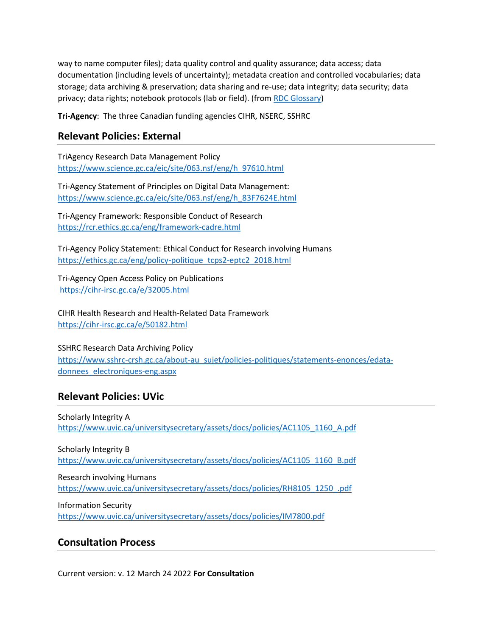way to name computer files); data quality control and quality assurance; data access; data documentation (including levels of uncertainty); metadata creation and controlled vocabularies; data storage; data archiving & preservation; data sharing and re-use; data integrity; data security; data privacy; data rights; notebook protocols (lab or field). (fro[m RDC Glossary\)](https://www.rdc-drc.ca/glossary/original-rdc-glossary/)

**Tri-Agency**: The three Canadian funding agencies CIHR, NSERC, SSHRC

## **Relevant Policies: External**

TriAgency Research Data Management Policy [https://www.science.gc.ca/eic/site/063.nsf/eng/h\\_97610.html](https://www.science.gc.ca/eic/site/063.nsf/eng/h_97610.html)

Tri-Agency Statement of Principles on Digital Data Management: [https://www.science.gc.ca/eic/site/063.nsf/eng/h\\_83F7624E.html](https://www.science.gc.ca/eic/site/063.nsf/eng/h_83F7624E.html)

Tri-Agency Framework: Responsible Conduct of Research <https://rcr.ethics.gc.ca/eng/framework-cadre.html>

Tri-Agency Policy Statement: Ethical Conduct for Research involving Humans [https://ethics.gc.ca/eng/policy-politique\\_tcps2-eptc2\\_2018.html](https://ethics.gc.ca/eng/policy-politique_tcps2-eptc2_2018.html)

Tri-Agency Open Access Policy on Publications <https://cihr-irsc.gc.ca/e/32005.html>

CIHR Health Research and Health-Related Data Framework <https://cihr-irsc.gc.ca/e/50182.html>

SSHRC Research Data Archiving Policy [https://www.sshrc-crsh.gc.ca/about-au\\_sujet/policies-politiques/statements-enonces/edata](https://www.sshrc-crsh.gc.ca/about-au_sujet/policies-politiques/statements-enonces/edata-donnees_electroniques-eng.aspx)[donnees\\_electroniques-eng.aspx](https://www.sshrc-crsh.gc.ca/about-au_sujet/policies-politiques/statements-enonces/edata-donnees_electroniques-eng.aspx)

## **Relevant Policies: UVic**

Scholarly Integrity A [https://www.uvic.ca/universitysecretary/assets/docs/policies/AC1105\\_1160\\_A.pdf](https://www.uvic.ca/universitysecretary/assets/docs/policies/AC1105_1160_A.pdf)

Scholarly Integrity B [https://www.uvic.ca/universitysecretary/assets/docs/policies/AC1105\\_1160\\_B.pdf](https://www.uvic.ca/universitysecretary/assets/docs/policies/AC1105_1160_B.pdf)

Research involving Humans [https://www.uvic.ca/universitysecretary/assets/docs/policies/RH8105\\_1250\\_.pdf](https://www.uvic.ca/universitysecretary/assets/docs/policies/RH8105_1250_.pdf)

Information Security <https://www.uvic.ca/universitysecretary/assets/docs/policies/IM7800.pdf>

## **Consultation Process**

Current version: v. 12 March 24 2022 **For Consultation**